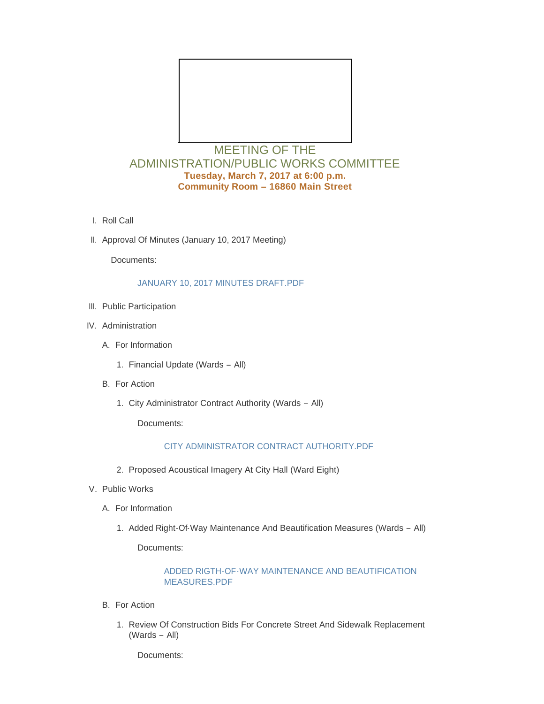

# MEETING OF THE ADMINISTRATION/PUBLIC WORKS COMMITTEE **Tuesday, March 7, 2017 at 6:00 p.m. Community Room – 16860 Main Street**

- l. Roll Call
- II. Approval Of Minutes (January 10, 2017 Meeting)

Documents:

#### [JANUARY 10, 2017 MINUTES DRAFT.PDF](http://cityofwildwood.com/AgendaCenter/ViewFile/Item/10031?fileID=14403)

- III. Public Participation
- IV. Administration
	- A. For Information
		- 1. Financial Update (Wards All)
	- **B.** For Action
		- 1. City Administrator Contract Authority (Wards All)

Documents:

### [CITY ADMINISTRATOR CONTRACT AUTHORITY.PDF](http://cityofwildwood.com/AgendaCenter/ViewFile/Item/10037?fileID=14404)

- 2. Proposed Acoustical Imagery At City Hall (Ward Eight)
- V. Public Works
	- A. For Information
		- 1. Added Right-Of-Way Maintenance And Beautification Measures (Wards All)

Documents:

#### [ADDED RIGTH-OF-WAY MAINTENANCE AND BEAUTIFICATION](http://cityofwildwood.com/AgendaCenter/ViewFile/Item/10041?fileID=14405)  MEASURES.PDF

- **B.** For Action
	- 1. Review Of Construction Bids For Concrete Street And Sidewalk Replacement (Wards – All)

Documents: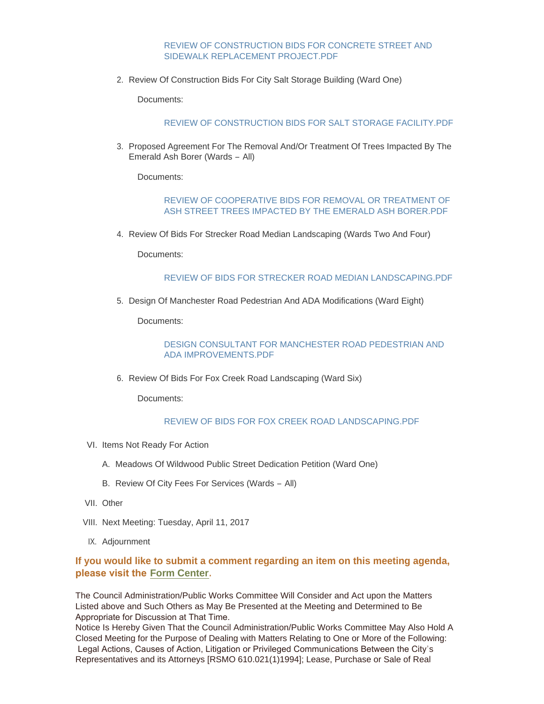#### [REVIEW OF CONSTRUCTION BIDS FOR CONCRETE STREET AND](http://cityofwildwood.com/AgendaCenter/ViewFile/Item/10043?fileID=14411)  SIDEWALK REPLACEMENT PROJECT.PDF

2. Review Of Construction Bids For City Salt Storage Building (Ward One)

Documents:

#### [REVIEW OF CONSTRUCTION BIDS FOR SALT STORAGE FACILITY.PDF](http://cityofwildwood.com/AgendaCenter/ViewFile/Item/10044?fileID=14406)

3. Proposed Agreement For The Removal And/Or Treatment Of Trees Impacted By The Emerald Ash Borer (Wards – All)

Documents:

#### [REVIEW OF COOPERATIVE BIDS FOR REMOVAL OR TREATMENT OF](http://cityofwildwood.com/AgendaCenter/ViewFile/Item/10045?fileID=14407)  ASH STREET TREES IMPACTED BY THE EMERALD ASH BORER.PDF

4. Review Of Bids For Strecker Road Median Landscaping (Wards Two And Four)

Documents:

#### [REVIEW OF BIDS FOR STRECKER ROAD MEDIAN LANDSCAPING.PDF](http://cityofwildwood.com/AgendaCenter/ViewFile/Item/10046?fileID=14408)

5. Design Of Manchester Road Pedestrian And ADA Modifications (Ward Eight)

Documents:

#### [DESIGN CONSULTANT FOR MANCHESTER ROAD PEDESTRIAN AND](http://cityofwildwood.com/AgendaCenter/ViewFile/Item/10047?fileID=14409)  ADA IMPROVEMENTS.PDF

6. Review Of Bids For Fox Creek Road Landscaping (Ward Six)

Documents:

#### [REVIEW OF BIDS FOR FOX CREEK ROAD LANDSCAPING.PDF](http://cityofwildwood.com/AgendaCenter/ViewFile/Item/10048?fileID=14410)

- VI. Items Not Ready For Action
	- A. Meadows Of Wildwood Public Street Dedication Petition (Ward One)
	- B. Review Of City Fees For Services (Wards All)
- VII. Other
- VIII. Next Meeting: Tuesday, April 11, 2017
- IX. Adjournment

## **If you would like to submit a comment regarding an item on this meeting agenda, please visit the [Form Center.](http://mo-wildwood.civicplus.com/FormCenter/Planning-Department-5/Public-Hearing-Comment-Form-48)**

The Council Administration/Public Works Committee Will Consider and Act upon the Matters Listed above and Such Others as May Be Presented at the Meeting and Determined to Be Appropriate for Discussion at That Time.

Notice Is Hereby Given That the Council Administration/Public Works Committee May Also Hold A Closed Meeting for the Purpose of Dealing with Matters Relating to One or More of the Following: Legal Actions, Causes of Action, Litigation or Privileged Communications Between the City's Representatives and its Attorneys [RSMO 610.021(1)1994]; Lease, Purchase or Sale of Real